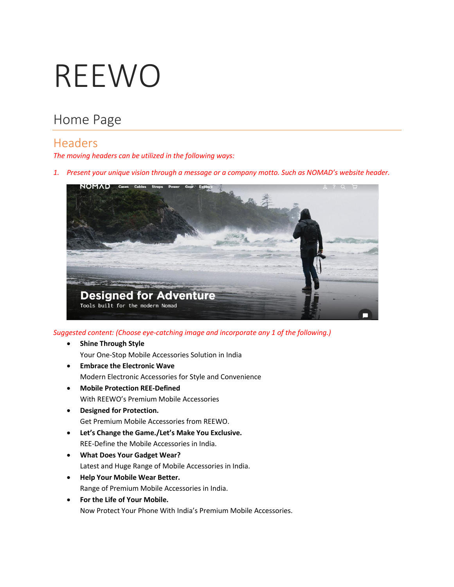# REEWO

# Home Page

#### Headers

*The moving headers can be utilized in the following ways:*

*1. Present your unique vision through a message or a company motto. Such as NOMAD's website header.*



*Suggested content: (Choose eye-catching image and incorporate any 1 of the following.)*

- **Shine Through Style** Your One-Stop Mobile Accessories Solution in India
- **Embrace the Electronic Wave**  Modern Electronic Accessories for Style and Convenience
- **Mobile Protection REE-Defined**  With REEWO's Premium Mobile Accessories
- **Designed for Protection.** Get Premium Mobile Accessories from REEWO.
- **Let's Change the Game./Let's Make You Exclusive.** REE-Define the Mobile Accessories in India.
- **What Does Your Gadget Wear?** Latest and Huge Range of Mobile Accessories in India.
- **Help Your Mobile Wear Better.**  Range of Premium Mobile Accessories in India.
- **For the Life of Your Mobile.** Now Protect Your Phone With India's Premium Mobile Accessories.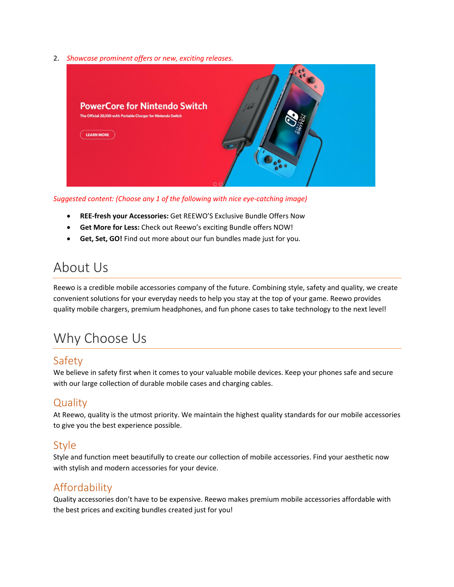2. *Showcase prominent offers or new, exciting releases.*



*Suggested content: (Choose any 1 of the following with nice eye-catching image)*

- **REE-fresh your Accessories:** Get REEWO'S Exclusive Bundle Offers Now
- **Get More for Less:** Check out Reewo's exciting Bundle offers NOW!
- **Get, Set, GO!** Find out more about our fun bundles made just for you.

## About Us

Reewo is a credible mobile accessories company of the future. Combining style, safety and quality, we create convenient solutions for your everyday needs to help you stay at the top of your game. Reewo provides quality mobile chargers, premium headphones, and fun phone cases to take technology to the next level!

# Why Choose Us

#### Safety

We believe in safety first when it comes to your valuable mobile devices. Keep your phones safe and secure with our large collection of durable mobile cases and charging cables.

#### **Quality**

At Reewo, quality is the utmost priority. We maintain the highest quality standards for our mobile accessories to give you the best experience possible.

#### Style

Style and function meet beautifully to create our collection of mobile accessories. Find your aesthetic now with stylish and modern accessories for your device.

#### Affordability

Quality accessories don't have to be expensive. Reewo makes premium mobile accessories affordable with the best prices and exciting bundles created just for you!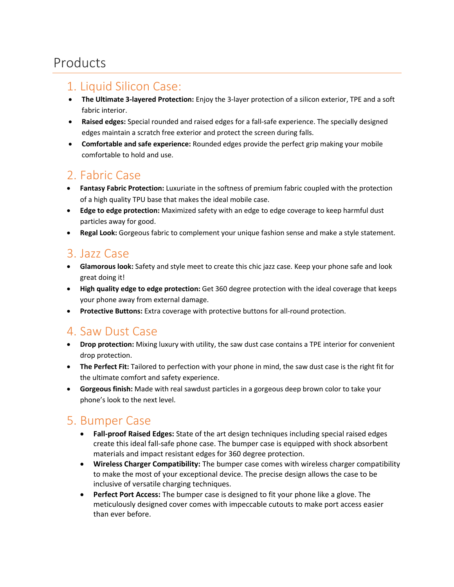## Products

#### 1. Liquid Silicon Case:

- **The Ultimate 3-layered Protection:** Enjoy the 3-layer protection of a silicon exterior, TPE and a soft fabric interior.
- **Raised edges:** Special rounded and raised edges for a fall-safe experience. The specially designed edges maintain a scratch free exterior and protect the screen during falls.
- **Comfortable and safe experience:** Rounded edges provide the perfect grip making your mobile comfortable to hold and use.

## 2. Fabric Case

- **Fantasy Fabric Protection:** Luxuriate in the softness of premium fabric coupled with the protection of a high quality TPU base that makes the ideal mobile case.
- **Edge to edge protection:** Maximized safety with an edge to edge coverage to keep harmful dust particles away for good.
- **Regal Look:** Gorgeous fabric to complement your unique fashion sense and make a style statement.

#### 3. Jazz Case

- **Glamorous look:** Safety and style meet to create this chic jazz case. Keep your phone safe and look great doing it!
- **High quality edge to edge protection:** Get 360 degree protection with the ideal coverage that keeps your phone away from external damage.
- **Protective Buttons:** Extra coverage with protective buttons for all-round protection.

#### 4. Saw Dust Case

- **Drop protection:** Mixing luxury with utility, the saw dust case contains a TPE interior for convenient drop protection.
- **The Perfect Fit:** Tailored to perfection with your phone in mind, the saw dust case is the right fit for the ultimate comfort and safety experience.
- **Gorgeous finish:** Made with real sawdust particles in a gorgeous deep brown color to take your phone's look to the next level.

#### 5. Bumper Case

- **Fall-proof Raised Edges:** State of the art design techniques including special raised edges create this ideal fall-safe phone case. The bumper case is equipped with shock absorbent materials and impact resistant edges for 360 degree protection.
- **Wireless Charger Compatibility:** The bumper case comes with wireless charger compatibility to make the most of your exceptional device. The precise design allows the case to be inclusive of versatile charging techniques.
- **Perfect Port Access:** The bumper case is designed to fit your phone like a glove. The meticulously designed cover comes with impeccable cutouts to make port access easier than ever before.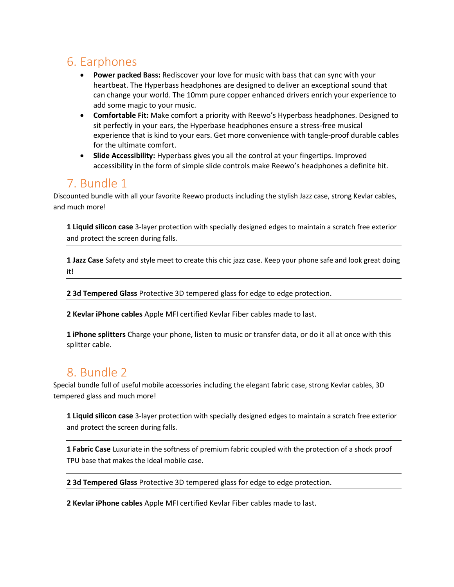## 6. Earphones

- **Power packed Bass:** Rediscover your love for music with bass that can sync with your heartbeat. The Hyperbass headphones are designed to deliver an exceptional sound that can change your world. The 10mm pure copper enhanced drivers enrich your experience to add some magic to your music.
- **Comfortable Fit:** Make comfort a priority with Reewo's Hyperbass headphones. Designed to sit perfectly in your ears, the Hyperbase headphones ensure a stress-free musical experience that is kind to your ears. Get more convenience with tangle-proof durable cables for the ultimate comfort.
- **Slide Accessibility:** Hyperbass gives you all the control at your fingertips. Improved accessibility in the form of simple slide controls make Reewo's headphones a definite hit.

## 7. Bundle 1

Discounted bundle with all your favorite Reewo products including the stylish Jazz case, strong Kevlar cables, and much more!

**1 Liquid silicon case** 3-layer protection with specially designed edges to maintain a scratch free exterior and protect the screen during falls.

**1 Jazz Case** Safety and style meet to create this chic jazz case. Keep your phone safe and look great doing it!

**2 3d Tempered Glass** Protective 3D tempered glass for edge to edge protection.

**2 Kevlar iPhone cables** Apple MFI certified Kevlar Fiber cables made to last.

**1 iPhone splitters** Charge your phone, listen to music or transfer data, or do it all at once with this splitter cable.

## 8. Bundle 2

Special bundle full of useful mobile accessories including the elegant fabric case, strong Kevlar cables, 3D tempered glass and much more!

**1 Liquid silicon case** 3-layer protection with specially designed edges to maintain a scratch free exterior and protect the screen during falls.

**1 Fabric Case** Luxuriate in the softness of premium fabric coupled with the protection of a shock proof TPU base that makes the ideal mobile case.

**2 3d Tempered Glass** Protective 3D tempered glass for edge to edge protection.

**2 Kevlar iPhone cables** Apple MFI certified Kevlar Fiber cables made to last.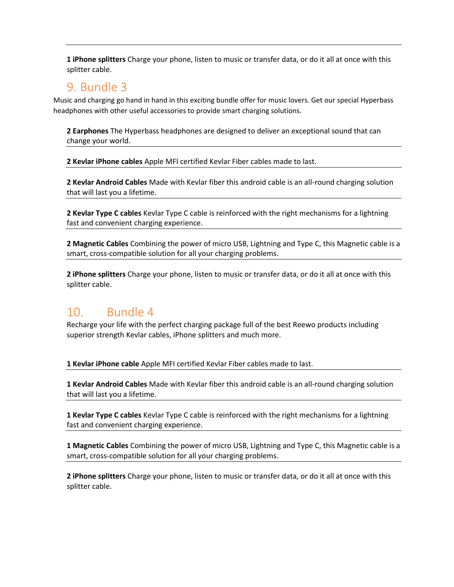**1 iPhone splitters** Charge your phone, listen to music or transfer data, or do it all at once with this splitter cable.

#### 9. Bundle 3

Music and charging go hand in hand in this exciting bundle offer for music lovers. Get our special Hyperbass headphones with other useful accessories to provide smart charging solutions.

**2 Earphones** The Hyperbass headphones are designed to deliver an exceptional sound that can change your world.

**2 Kevlar iPhone cables** Apple MFI certified Kevlar Fiber cables made to last.

**2 Kevlar Android Cables** Made with Kevlar fiber this android cable is an all-round charging solution that will last you a lifetime.

**2 Kevlar Type C cables** Kevlar Type C cable is reinforced with the right mechanisms for a lightning fast and convenient charging experience.

**2 Magnetic Cables** Combining the power of micro USB, Lightning and Type C, this Magnetic cable is a smart, cross-compatible solution for all your charging problems.

**2 iPhone splitters** Charge your phone, listen to music or transfer data, or do it all at once with this splitter cable.

## 10. Bundle 4

Recharge your life with the perfect charging package full of the best Reewo products including superior strength Kevlar cables, iPhone splitters and much more.

**1 Kevlar iPhone cable** Apple MFI certified Kevlar Fiber cables made to last.

**1 Kevlar Android Cables** Made with Kevlar fiber this android cable is an all-round charging solution that will last you a lifetime.

**1 Kevlar Type C cables** Kevlar Type C cable is reinforced with the right mechanisms for a lightning fast and convenient charging experience.

**1 Magnetic Cables** Combining the power of micro USB, Lightning and Type C, this Magnetic cable is a smart, cross-compatible solution for all your charging problems.

**2 iPhone splitters** Charge your phone, listen to music or transfer data, or do it all at once with this splitter cable.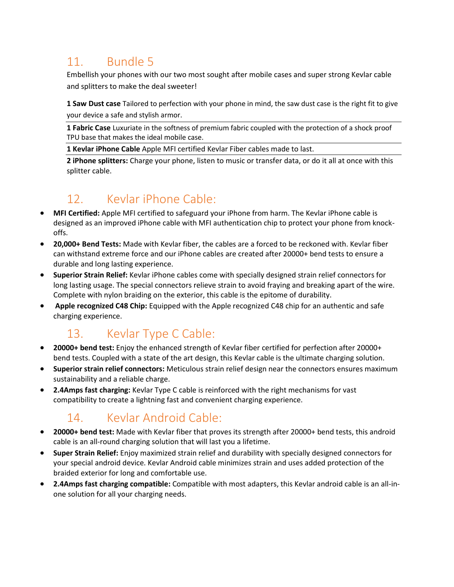## 11. Bundle 5

Embellish your phones with our two most sought after mobile cases and super strong Kevlar cable and splitters to make the deal sweeter!

**1 Saw Dust case** Tailored to perfection with your phone in mind, the saw dust case is the right fit to give your device a safe and stylish armor.

**1 Fabric Case** Luxuriate in the softness of premium fabric coupled with the protection of a shock proof TPU base that makes the ideal mobile case.

**1 Kevlar iPhone Cable** Apple MFI certified Kevlar Fiber cables made to last.

**2 iPhone splitters:** Charge your phone, listen to music or transfer data, or do it all at once with this splitter cable.

# 12. Kevlar iPhone Cable:

- **MFI Certified:** Apple MFI certified to safeguard your iPhone from harm. The Kevlar iPhone cable is designed as an improved iPhone cable with MFI authentication chip to protect your phone from knockoffs.
- **20,000+ Bend Tests:** Made with Kevlar fiber, the cables are a forced to be reckoned with. Kevlar fiber can withstand extreme force and our iPhone cables are created after 20000+ bend tests to ensure a durable and long lasting experience.
- **Superior Strain Relief:** Kevlar iPhone cables come with specially designed strain relief connectors for long lasting usage. The special connectors relieve strain to avoid fraying and breaking apart of the wire. Complete with nylon braiding on the exterior, this cable is the epitome of durability.
- **Apple recognized C48 Chip:** Equipped with the Apple recognized C48 chip for an authentic and safe charging experience.

## 13. Kevlar Type C Cable:

- **20000+ bend test:** Enjoy the enhanced strength of Kevlar fiber certified for perfection after 20000+ bend tests. Coupled with a state of the art design, this Kevlar cable is the ultimate charging solution.
- **Superior strain relief connectors:** Meticulous strain relief design near the connectors ensures maximum sustainability and a reliable charge.
- **2.4Amps fast charging:** Kevlar Type C cable is reinforced with the right mechanisms for vast compatibility to create a lightning fast and convenient charging experience.

## 14. Kevlar Android Cable:

- **20000+ bend test:** Made with Kevlar fiber that proves its strength after 20000+ bend tests, this android cable is an all-round charging solution that will last you a lifetime.
- **Super Strain Relief:** Enjoy maximized strain relief and durability with specially designed connectors for your special android device. Kevlar Android cable minimizes strain and uses added protection of the braided exterior for long and comfortable use.
- **2.4Amps fast charging compatible:** Compatible with most adapters, this Kevlar android cable is an all-inone solution for all your charging needs.